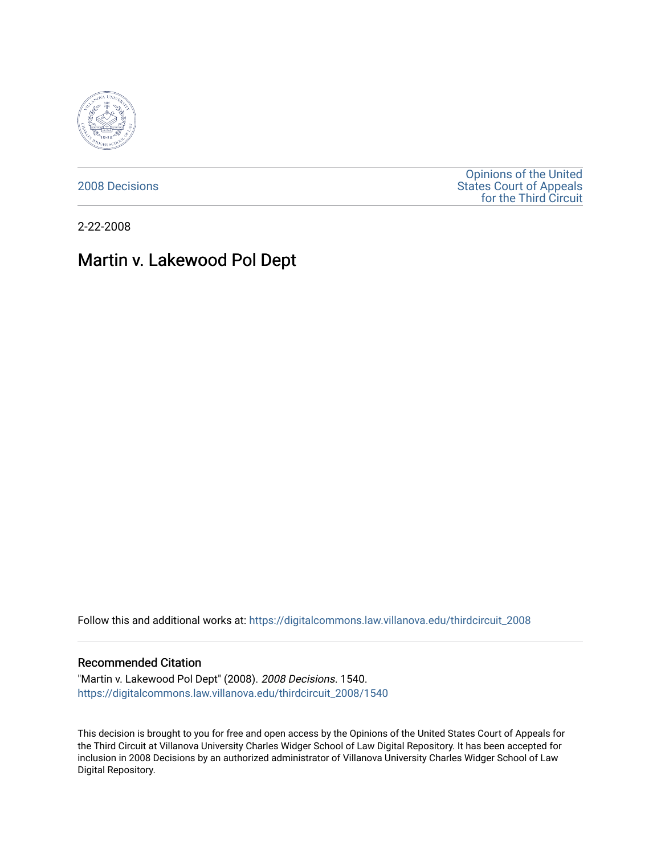

[2008 Decisions](https://digitalcommons.law.villanova.edu/thirdcircuit_2008)

[Opinions of the United](https://digitalcommons.law.villanova.edu/thirdcircuit)  [States Court of Appeals](https://digitalcommons.law.villanova.edu/thirdcircuit)  [for the Third Circuit](https://digitalcommons.law.villanova.edu/thirdcircuit) 

2-22-2008

# Martin v. Lakewood Pol Dept

Follow this and additional works at: [https://digitalcommons.law.villanova.edu/thirdcircuit\\_2008](https://digitalcommons.law.villanova.edu/thirdcircuit_2008?utm_source=digitalcommons.law.villanova.edu%2Fthirdcircuit_2008%2F1540&utm_medium=PDF&utm_campaign=PDFCoverPages) 

## Recommended Citation

"Martin v. Lakewood Pol Dept" (2008). 2008 Decisions. 1540. [https://digitalcommons.law.villanova.edu/thirdcircuit\\_2008/1540](https://digitalcommons.law.villanova.edu/thirdcircuit_2008/1540?utm_source=digitalcommons.law.villanova.edu%2Fthirdcircuit_2008%2F1540&utm_medium=PDF&utm_campaign=PDFCoverPages) 

This decision is brought to you for free and open access by the Opinions of the United States Court of Appeals for the Third Circuit at Villanova University Charles Widger School of Law Digital Repository. It has been accepted for inclusion in 2008 Decisions by an authorized administrator of Villanova University Charles Widger School of Law Digital Repository.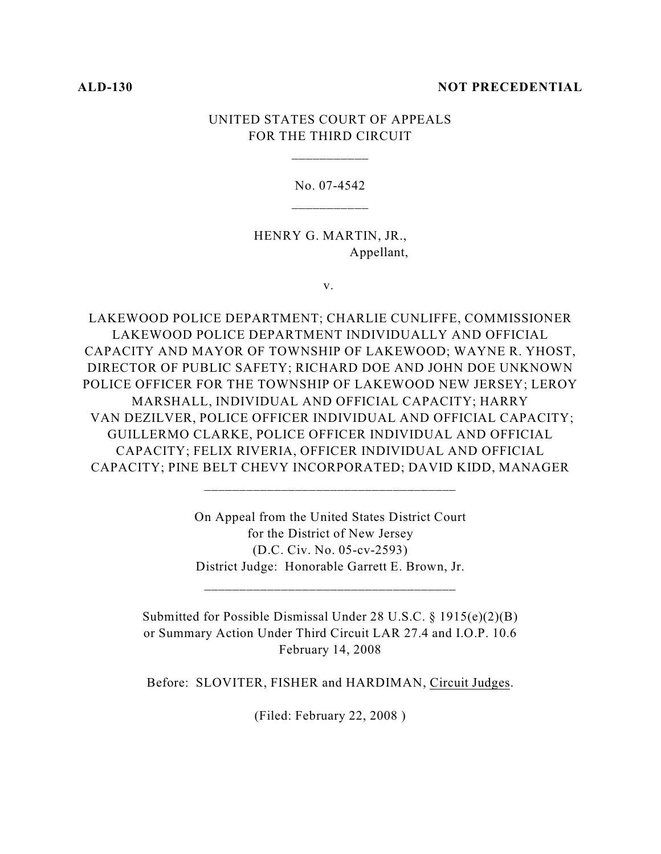### **ALD-130 NOT PRECEDENTIAL**

# UNITED STATES COURT OF APPEALS FOR THE THIRD CIRCUIT

\_\_\_\_\_\_\_\_\_\_\_

No. 07-4542

HENRY G. MARTIN, JR., Appellant,

v.

LAKEWOOD POLICE DEPARTMENT; CHARLIE CUNLIFFE, COMMISSIONER LAKEWOOD POLICE DEPARTMENT INDIVIDUALLY AND OFFICIAL CAPACITY AND MAYOR OF TOWNSHIP OF LAKEWOOD; WAYNE R. YHOST, DIRECTOR OF PUBLIC SAFETY; RICHARD DOE AND JOHN DOE UNKNOWN POLICE OFFICER FOR THE TOWNSHIP OF LAKEWOOD NEW JERSEY; LEROY MARSHALL, INDIVIDUAL AND OFFICIAL CAPACITY; HARRY VAN DEZILVER, POLICE OFFICER INDIVIDUAL AND OFFICIAL CAPACITY; GUILLERMO CLARKE, POLICE OFFICER INDIVIDUAL AND OFFICIAL CAPACITY; FELIX RIVERIA, OFFICER INDIVIDUAL AND OFFICIAL CAPACITY; PINE BELT CHEVY INCORPORATED; DAVID KIDD, MANAGER

> On Appeal from the United States District Court for the District of New Jersey (D.C. Civ. No. 05-cv-2593) District Judge: Honorable Garrett E. Brown, Jr.

Submitted for Possible Dismissal Under 28 U.S.C. § 1915(e)(2)(B) or Summary Action Under Third Circuit LAR 27.4 and I.O.P. 10.6 February 14, 2008

Before: SLOVITER, FISHER and HARDIMAN, Circuit Judges.

(Filed: February 22, 2008 )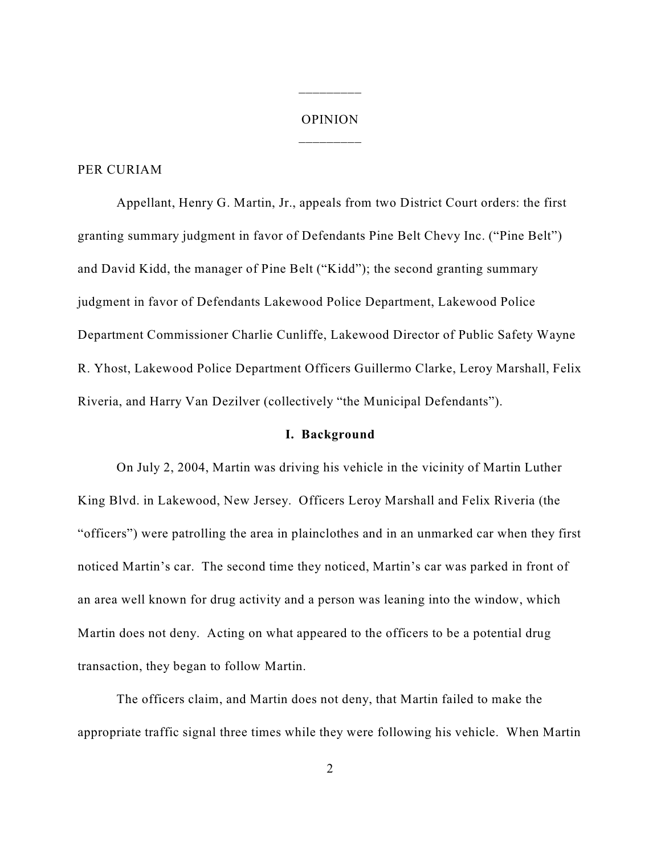# OPINION \_\_\_\_\_\_\_\_\_

\_\_\_\_\_\_\_\_\_

#### PER CURIAM

Appellant, Henry G. Martin, Jr., appeals from two District Court orders: the first granting summary judgment in favor of Defendants Pine Belt Chevy Inc. ("Pine Belt") and David Kidd, the manager of Pine Belt ("Kidd"); the second granting summary judgment in favor of Defendants Lakewood Police Department, Lakewood Police Department Commissioner Charlie Cunliffe, Lakewood Director of Public Safety Wayne R. Yhost, Lakewood Police Department Officers Guillermo Clarke, Leroy Marshall, Felix Riveria, and Harry Van Dezilver (collectively "the Municipal Defendants").

# **I. Background**

On July 2, 2004, Martin was driving his vehicle in the vicinity of Martin Luther King Blvd. in Lakewood, New Jersey. Officers Leroy Marshall and Felix Riveria (the "officers") were patrolling the area in plainclothes and in an unmarked car when they first noticed Martin's car. The second time they noticed, Martin's car was parked in front of an area well known for drug activity and a person was leaning into the window, which Martin does not deny. Acting on what appeared to the officers to be a potential drug transaction, they began to follow Martin.

The officers claim, and Martin does not deny, that Martin failed to make the appropriate traffic signal three times while they were following his vehicle. When Martin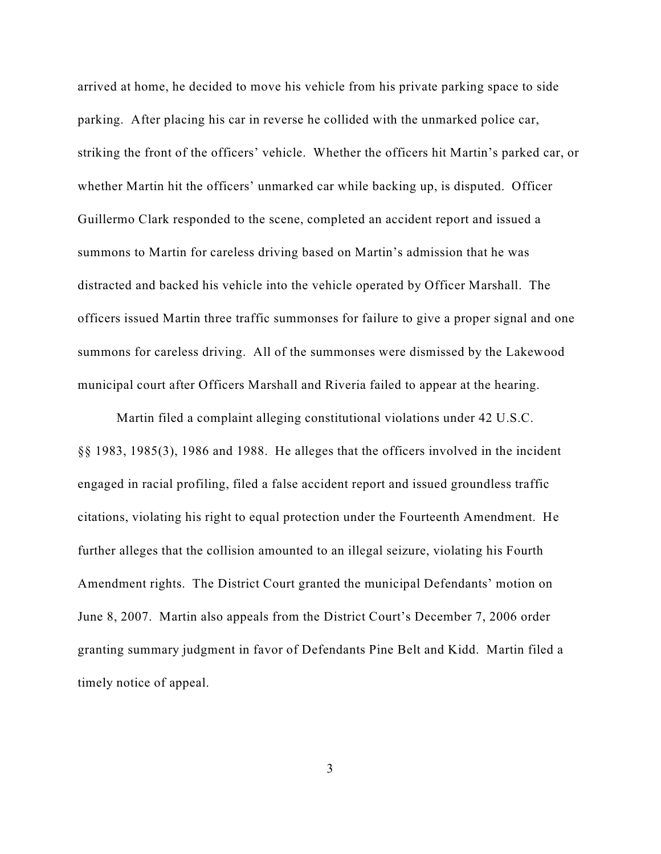arrived at home, he decided to move his vehicle from his private parking space to side parking. After placing his car in reverse he collided with the unmarked police car, striking the front of the officers' vehicle. Whether the officers hit Martin's parked car, or whether Martin hit the officers' unmarked car while backing up, is disputed. Officer Guillermo Clark responded to the scene, completed an accident report and issued a summons to Martin for careless driving based on Martin's admission that he was distracted and backed his vehicle into the vehicle operated by Officer Marshall. The officers issued Martin three traffic summonses for failure to give a proper signal and one summons for careless driving. All of the summonses were dismissed by the Lakewood municipal court after Officers Marshall and Riveria failed to appear at the hearing.

Martin filed a complaint alleging constitutional violations under 42 U.S.C. §§ 1983, 1985(3), 1986 and 1988. He alleges that the officers involved in the incident engaged in racial profiling, filed a false accident report and issued groundless traffic citations, violating his right to equal protection under the Fourteenth Amendment. He further alleges that the collision amounted to an illegal seizure, violating his Fourth Amendment rights. The District Court granted the municipal Defendants' motion on June 8, 2007. Martin also appeals from the District Court's December 7, 2006 order granting summary judgment in favor of Defendants Pine Belt and Kidd. Martin filed a timely notice of appeal.

3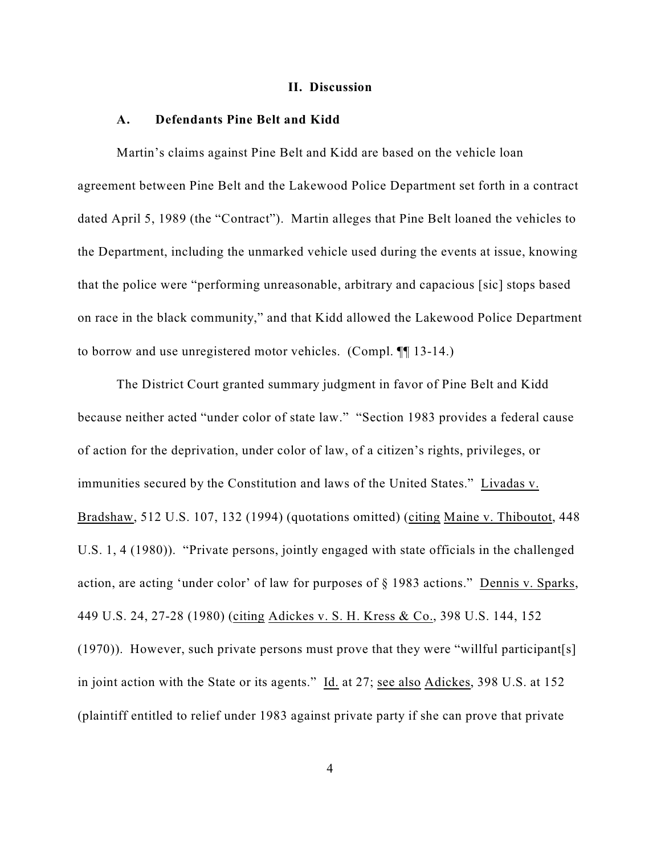#### **II. Discussion**

## **A. Defendants Pine Belt and Kidd**

Martin's claims against Pine Belt and Kidd are based on the vehicle loan agreement between Pine Belt and the Lakewood Police Department set forth in a contract dated April 5, 1989 (the "Contract"). Martin alleges that Pine Belt loaned the vehicles to the Department, including the unmarked vehicle used during the events at issue, knowing that the police were "performing unreasonable, arbitrary and capacious [sic] stops based on race in the black community," and that Kidd allowed the Lakewood Police Department to borrow and use unregistered motor vehicles. (Compl. ¶¶ 13-14.)

The District Court granted summary judgment in favor of Pine Belt and Kidd because neither acted "under color of state law." "Section 1983 provides a federal cause of action for the deprivation, under color of law, of a citizen's rights, privileges, or immunities secured by the Constitution and laws of the United States." Livadas v. Bradshaw, 512 U.S. 107, 132 (1994) (quotations omitted) (citing Maine v. Thiboutot, 448 U.S. 1, 4 (1980)). "Private persons, jointly engaged with state officials in the challenged action, are acting 'under color' of law for purposes of § 1983 actions." Dennis v. Sparks, 449 U.S. 24, 27-28 (1980) (citing Adickes v. S. H. Kress & Co., 398 U.S. 144, 152 (1970)). However, such private persons must prove that they were "willful participant[s] in joint action with the State or its agents." Id. at 27; see also Adickes, 398 U.S. at 152 (plaintiff entitled to relief under 1983 against private party if she can prove that private

4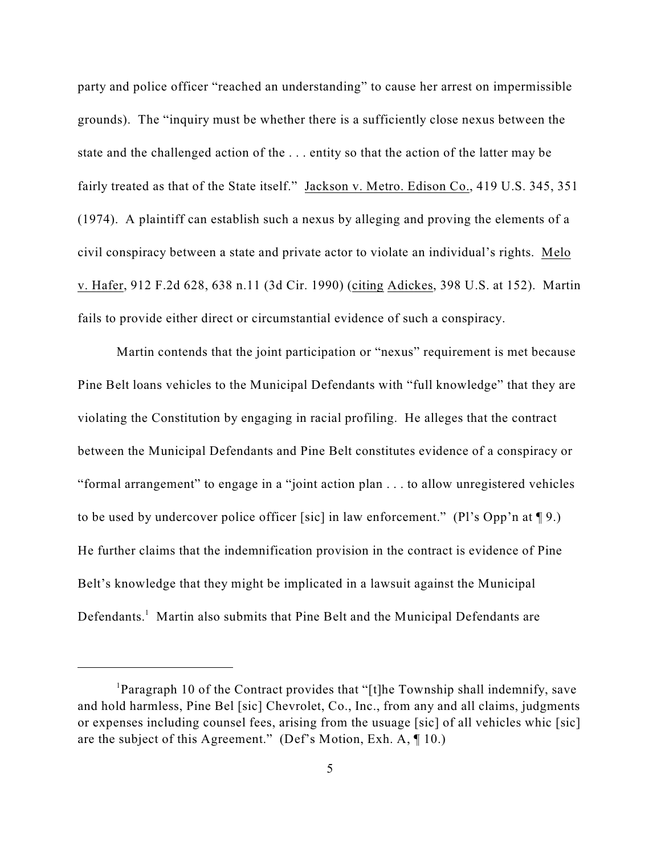party and police officer "reached an understanding" to cause her arrest on impermissible grounds). The "inquiry must be whether there is a sufficiently close nexus between the state and the challenged action of the . . . entity so that the action of the latter may be fairly treated as that of the State itself." Jackson v. Metro. Edison Co., 419 U.S. 345, 351 (1974). A plaintiff can establish such a nexus by alleging and proving the elements of a civil conspiracy between a state and private actor to violate an individual's rights. Melo v. Hafer, 912 F.2d 628, 638 n.11 (3d Cir. 1990) (citing Adickes, 398 U.S. at 152). Martin fails to provide either direct or circumstantial evidence of such a conspiracy.

Martin contends that the joint participation or "nexus" requirement is met because Pine Belt loans vehicles to the Municipal Defendants with "full knowledge" that they are violating the Constitution by engaging in racial profiling. He alleges that the contract between the Municipal Defendants and Pine Belt constitutes evidence of a conspiracy or "formal arrangement" to engage in a "joint action plan . . . to allow unregistered vehicles to be used by undercover police officer [sic] in law enforcement." (Pl's Opp'n at ¶ 9.) He further claims that the indemnification provision in the contract is evidence of Pine Belt's knowledge that they might be implicated in a lawsuit against the Municipal Defendants.<sup>1</sup> Martin also submits that Pine Belt and the Municipal Defendants are

<sup>&</sup>lt;sup>1</sup> Paragraph 10 of the Contract provides that "[t]he Township shall indemnify, save and hold harmless, Pine Bel [sic] Chevrolet, Co., Inc., from any and all claims, judgments or expenses including counsel fees, arising from the usuage [sic] of all vehicles whic [sic] are the subject of this Agreement." (Def's Motion, Exh. A, ¶ 10.)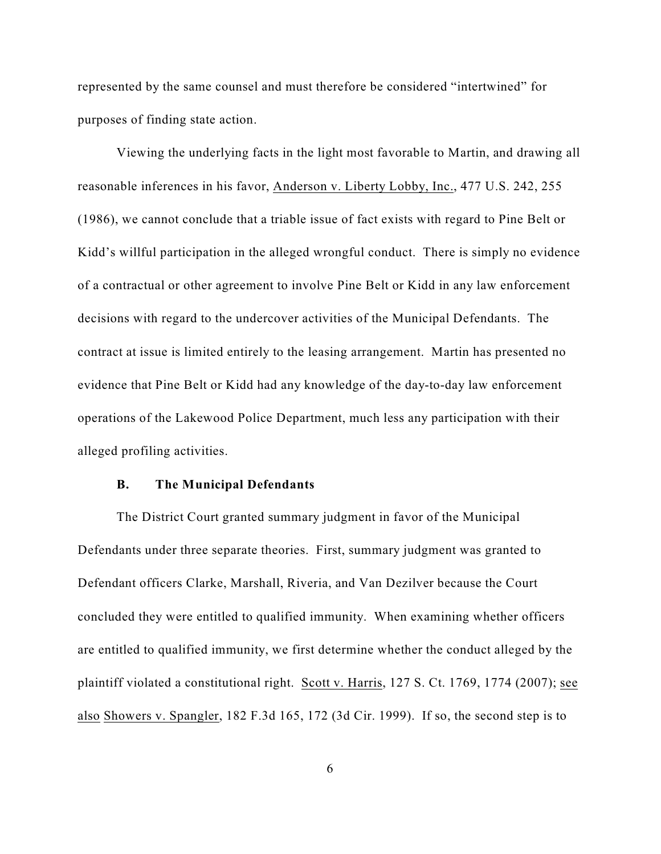represented by the same counsel and must therefore be considered "intertwined" for purposes of finding state action.

Viewing the underlying facts in the light most favorable to Martin, and drawing all reasonable inferences in his favor, Anderson v. Liberty Lobby, Inc., 477 U.S. 242, 255 (1986), we cannot conclude that a triable issue of fact exists with regard to Pine Belt or Kidd's willful participation in the alleged wrongful conduct. There is simply no evidence of a contractual or other agreement to involve Pine Belt or Kidd in any law enforcement decisions with regard to the undercover activities of the Municipal Defendants. The contract at issue is limited entirely to the leasing arrangement. Martin has presented no evidence that Pine Belt or Kidd had any knowledge of the day-to-day law enforcement operations of the Lakewood Police Department, much less any participation with their alleged profiling activities.

#### **B. The Municipal Defendants**

The District Court granted summary judgment in favor of the Municipal Defendants under three separate theories. First, summary judgment was granted to Defendant officers Clarke, Marshall, Riveria, and Van Dezilver because the Court concluded they were entitled to qualified immunity. When examining whether officers are entitled to qualified immunity, we first determine whether the conduct alleged by the plaintiff violated a constitutional right. Scott v. Harris, 127 S. Ct. 1769, 1774 (2007); see also Showers v. Spangler, 182 F.3d 165, 172 (3d Cir. 1999). If so, the second step is to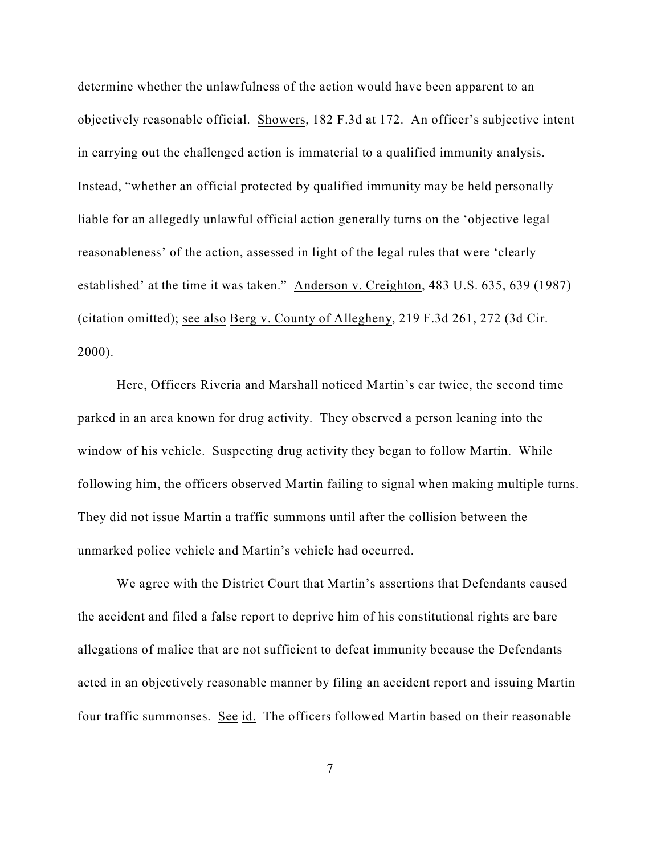determine whether the unlawfulness of the action would have been apparent to an objectively reasonable official. Showers, 182 F.3d at 172. An officer's subjective intent in carrying out the challenged action is immaterial to a qualified immunity analysis. Instead, "whether an official protected by qualified immunity may be held personally liable for an allegedly unlawful official action generally turns on the 'objective legal reasonableness' of the action, assessed in light of the legal rules that were 'clearly established' at the time it was taken." Anderson v. Creighton, 483 U.S. 635, 639 (1987) (citation omitted); see also Berg v. County of Allegheny, 219 F.3d 261, 272 (3d Cir. 2000).

Here, Officers Riveria and Marshall noticed Martin's car twice, the second time parked in an area known for drug activity. They observed a person leaning into the window of his vehicle. Suspecting drug activity they began to follow Martin. While following him, the officers observed Martin failing to signal when making multiple turns. They did not issue Martin a traffic summons until after the collision between the unmarked police vehicle and Martin's vehicle had occurred.

We agree with the District Court that Martin's assertions that Defendants caused the accident and filed a false report to deprive him of his constitutional rights are bare allegations of malice that are not sufficient to defeat immunity because the Defendants acted in an objectively reasonable manner by filing an accident report and issuing Martin four traffic summonses. See id. The officers followed Martin based on their reasonable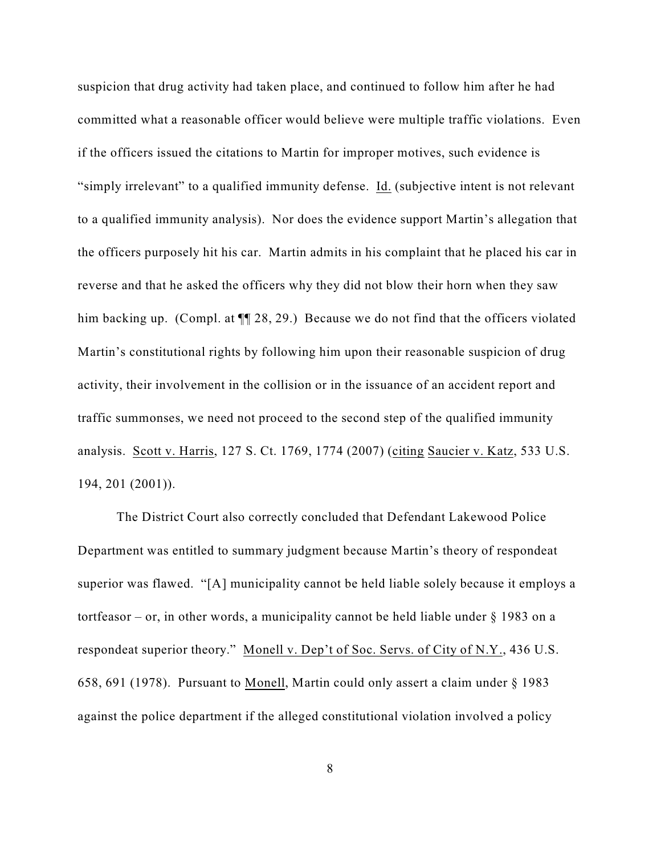suspicion that drug activity had taken place, and continued to follow him after he had committed what a reasonable officer would believe were multiple traffic violations. Even if the officers issued the citations to Martin for improper motives, such evidence is "simply irrelevant" to a qualified immunity defense. Id. (subjective intent is not relevant to a qualified immunity analysis). Nor does the evidence support Martin's allegation that the officers purposely hit his car. Martin admits in his complaint that he placed his car in reverse and that he asked the officers why they did not blow their horn when they saw him backing up. (Compl. at  $\P$  28, 29.) Because we do not find that the officers violated Martin's constitutional rights by following him upon their reasonable suspicion of drug activity, their involvement in the collision or in the issuance of an accident report and traffic summonses, we need not proceed to the second step of the qualified immunity analysis. Scott v. Harris, 127 S. Ct. 1769, 1774 (2007) (citing Saucier v. Katz, 533 U.S. 194, 201 (2001)).

The District Court also correctly concluded that Defendant Lakewood Police Department was entitled to summary judgment because Martin's theory of respondeat superior was flawed. "[A] municipality cannot be held liable solely because it employs a tortfeasor – or, in other words, a municipality cannot be held liable under  $\S$  1983 on a respondeat superior theory." Monell v. Dep't of Soc. Servs. of City of N.Y., 436 U.S. 658, 691 (1978). Pursuant to Monell, Martin could only assert a claim under § 1983 against the police department if the alleged constitutional violation involved a policy